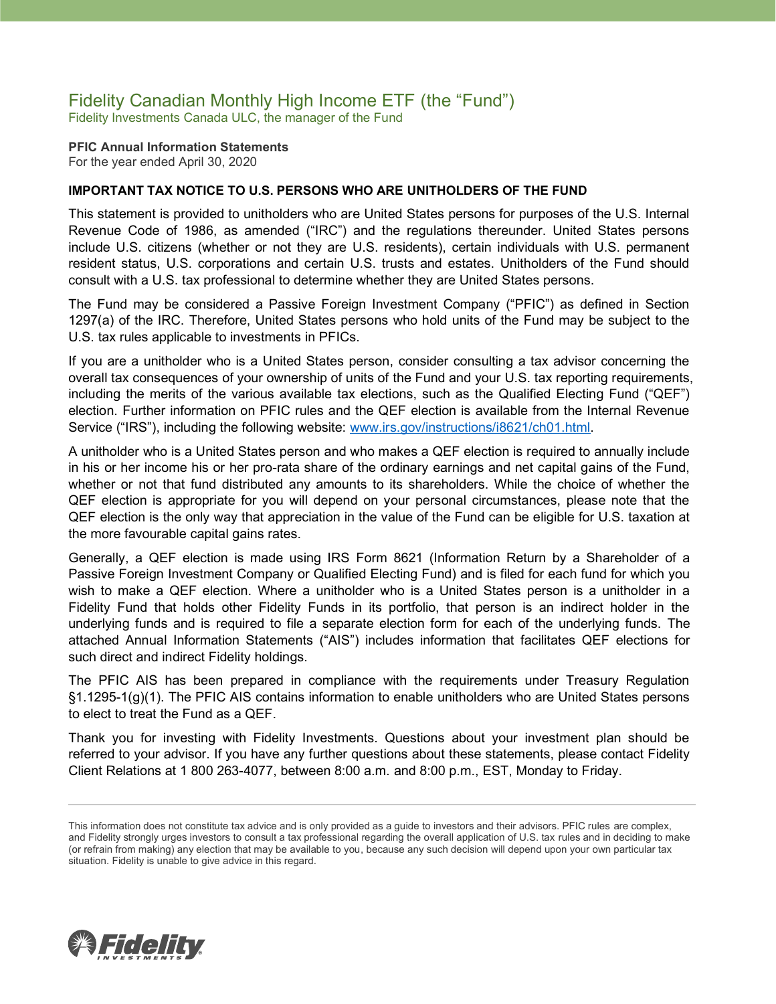### Fidelity Canadian Monthly High Income ETF (the "Fund") Fidelity Investments Canada ULC, the manager of the Fund

**PFIC Annual Information Statements** For the year ended April 30, 2020

#### **IMPORTANT TAX NOTICE TO U.S. PERSONS WHO ARE UNITHOLDERS OF THE FUND**

This statement is provided to unitholders who are United States persons for purposes of the U.S. Internal Revenue Code of 1986, as amended ("IRC") and the regulations thereunder. United States persons include U.S. citizens (whether or not they are U.S. residents), certain individuals with U.S. permanent resident status, U.S. corporations and certain U.S. trusts and estates. Unitholders of the Fund should consult with a U.S. tax professional to determine whether they are United States persons.

The Fund may be considered a Passive Foreign Investment Company ("PFIC") as defined in Section 1297(a) of the IRC. Therefore, United States persons who hold units of the Fund may be subject to the U.S. tax rules applicable to investments in PFICs.

If you are a unitholder who is a United States person, consider consulting a tax advisor concerning the overall tax consequences of your ownership of units of the Fund and your U.S. tax reporting requirements, including the merits of the various available tax elections, such as the Qualified Electing Fund ("QEF") election. Further information on PFIC rules and the QEF election is available from the Internal Revenue Service ("IRS"), including the following website: [www.irs.gov/instructions/i8621/ch01.html.](http://www.irs.gov/instructions/i8621/ch01.html)

A unitholder who is a United States person and who makes a QEF election is required to annually include in his or her income his or her pro-rata share of the ordinary earnings and net capital gains of the Fund, whether or not that fund distributed any amounts to its shareholders. While the choice of whether the QEF election is appropriate for you will depend on your personal circumstances, please note that the QEF election is the only way that appreciation in the value of the Fund can be eligible for U.S. taxation at the more favourable capital gains rates.

Generally, a QEF election is made using IRS Form 8621 (Information Return by a Shareholder of a Passive Foreign Investment Company or Qualified Electing Fund) and is filed for each fund for which you wish to make a QEF election. Where a unitholder who is a United States person is a unitholder in a Fidelity Fund that holds other Fidelity Funds in its portfolio, that person is an indirect holder in the underlying funds and is required to file a separate election form for each of the underlying funds. The attached Annual Information Statements ("AIS") includes information that facilitates QEF elections for such direct and indirect Fidelity holdings.

The PFIC AIS has been prepared in compliance with the requirements under Treasury Regulation §1.1295-1(g)(1). The PFIC AIS contains information to enable unitholders who are United States persons to elect to treat the Fund as a QEF.

Thank you for investing with Fidelity Investments. Questions about your investment plan should be referred to your advisor. If you have any further questions about these statements, please contact Fidelity Client Relations at 1 800 263-4077, between 8:00 a.m. and 8:00 p.m., EST, Monday to Friday.



This information does not constitute tax advice and is only provided as a guide to investors and their advisors. PFIC rules are complex, and Fidelity strongly urges investors to consult a tax professional regarding the overall application of U.S. tax rules and in deciding to make (or refrain from making) any election that may be available to you, because any such decision will depend upon your own particular tax situation. Fidelity is unable to give advice in this regard.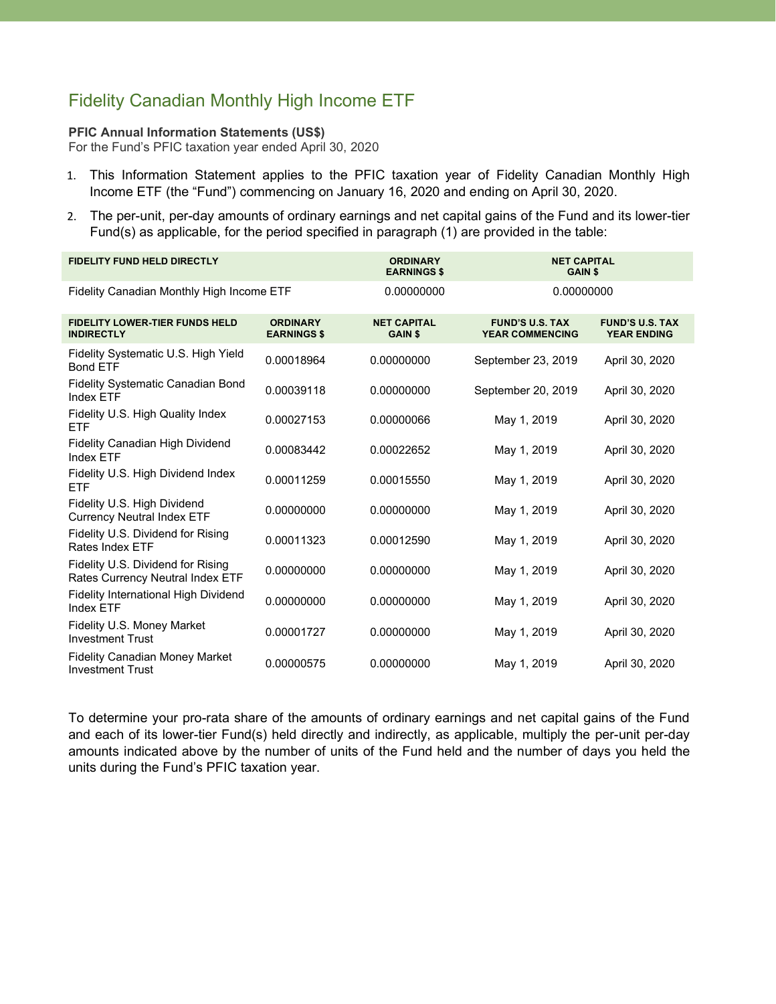# Fidelity Canadian Monthly High Income ETF

#### **PFIC Annual Information Statements (US\$)**

For the Fund's PFIC taxation year ended April 30, 2020

- 1. This Information Statement applies to the PFIC taxation year of Fidelity Canadian Monthly High Income ETF (the "Fund") commencing on January 16, 2020 and ending on April 30, 2020.
- 2. The per-unit, per-day amounts of ordinary earnings and net capital gains of the Fund and its lower-tier Fund(s) as applicable, for the period specified in paragraph (1) are provided in the table:

| <b>FIDELITY FUND HELD DIRECTLY</b>                                    |                                       | <b>ORDINARY</b><br><b>EARNINGS \$</b> | <b>NET CAPITAL</b><br><b>GAIN \$</b>             |                                              |
|-----------------------------------------------------------------------|---------------------------------------|---------------------------------------|--------------------------------------------------|----------------------------------------------|
| Fidelity Canadian Monthly High Income ETF                             |                                       | 0.00000000                            | 0.00000000                                       |                                              |
| <b>FIDELITY LOWER-TIER FUNDS HELD</b><br><b>INDIRECTLY</b>            | <b>ORDINARY</b><br><b>EARNINGS \$</b> | <b>NET CAPITAL</b><br><b>GAIN \$</b>  | <b>FUND'S U.S. TAX</b><br><b>YEAR COMMENCING</b> | <b>FUND'S U.S. TAX</b><br><b>YEAR ENDING</b> |
| Fidelity Systematic U.S. High Yield<br><b>Bond ETF</b>                | 0.00018964                            | 0.00000000                            | September 23, 2019                               | April 30, 2020                               |
| Fidelity Systematic Canadian Bond<br>Index ETF                        | 0.00039118                            | 0.00000000                            | September 20, 2019                               | April 30, 2020                               |
| Fidelity U.S. High Quality Index<br><b>ETF</b>                        | 0.00027153                            | 0.00000066                            | May 1, 2019                                      | April 30, 2020                               |
| Fidelity Canadian High Dividend<br><b>Index ETF</b>                   | 0.00083442                            | 0.00022652                            | May 1, 2019                                      | April 30, 2020                               |
| Fidelity U.S. High Dividend Index<br><b>ETF</b>                       | 0.00011259                            | 0.00015550                            | May 1, 2019                                      | April 30, 2020                               |
| Fidelity U.S. High Dividend<br><b>Currency Neutral Index ETF</b>      | 0.00000000                            | 0.00000000                            | May 1, 2019                                      | April 30, 2020                               |
| Fidelity U.S. Dividend for Rising<br>Rates Index ETF                  | 0.00011323                            | 0.00012590                            | May 1, 2019                                      | April 30, 2020                               |
| Fidelity U.S. Dividend for Rising<br>Rates Currency Neutral Index ETF | 0.00000000                            | 0.00000000                            | May 1, 2019                                      | April 30, 2020                               |
| Fidelity International High Dividend<br>Index ETF                     | 0.00000000                            | 0.00000000                            | May 1, 2019                                      | April 30, 2020                               |
| Fidelity U.S. Money Market<br><b>Investment Trust</b>                 | 0.00001727                            | 0.00000000                            | May 1, 2019                                      | April 30, 2020                               |
| <b>Fidelity Canadian Money Market</b><br><b>Investment Trust</b>      | 0.00000575                            | 0.00000000                            | May 1, 2019                                      | April 30, 2020                               |

To determine your pro-rata share of the amounts of ordinary earnings and net capital gains of the Fund and each of its lower-tier Fund(s) held directly and indirectly, as applicable, multiply the per-unit per-day amounts indicated above by the number of units of the Fund held and the number of days you held the units during the Fund's PFIC taxation year.